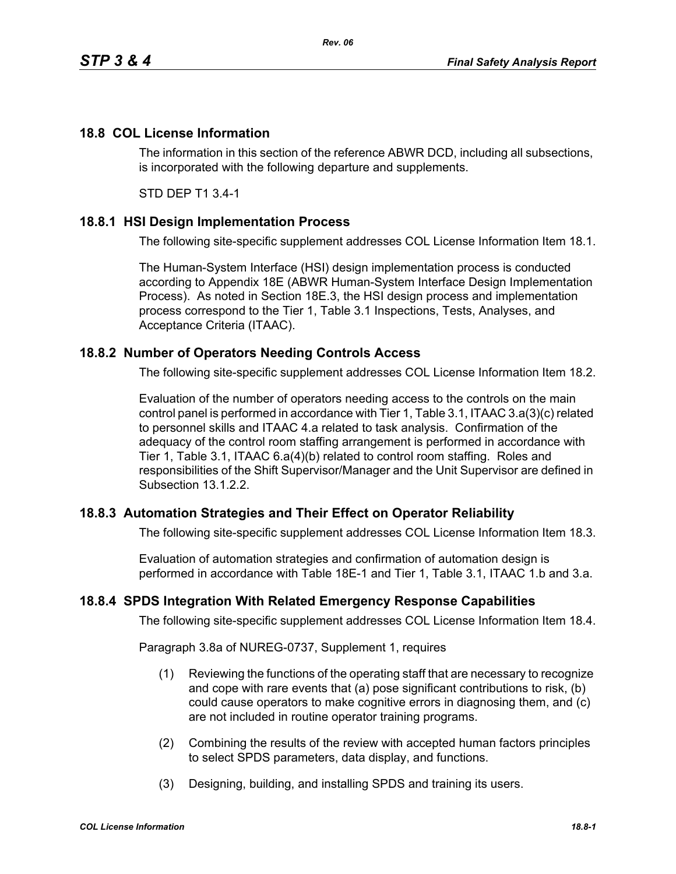## **18.8 COL License Information**

The information in this section of the reference ABWR DCD, including all subsections, is incorporated with the following departure and supplements.

STD DEP T1 3.4-1

## **18.8.1 HSI Design Implementation Process**

The following site-specific supplement addresses COL License Information Item 18.1.

The Human-System Interface (HSI) design implementation process is conducted according to Appendix 18E (ABWR Human-System Interface Design Implementation Process). As noted in Section 18E.3, the HSI design process and implementation process correspond to the Tier 1, Table 3.1 Inspections, Tests, Analyses, and Acceptance Criteria (ITAAC).

## **18.8.2 Number of Operators Needing Controls Access**

The following site-specific supplement addresses COL License Information Item 18.2.

Evaluation of the number of operators needing access to the controls on the main control panel is performed in accordance with Tier 1, Table 3.1, ITAAC 3.a(3)(c) related to personnel skills and ITAAC 4.a related to task analysis. Confirmation of the adequacy of the control room staffing arrangement is performed in accordance with Tier 1, Table 3.1, ITAAC 6.a(4)(b) related to control room staffing. Roles and responsibilities of the Shift Supervisor/Manager and the Unit Supervisor are defined in Subsection 13.1.2.2.

## **18.8.3 Automation Strategies and Their Effect on Operator Reliability**

The following site-specific supplement addresses COL License Information Item 18.3.

Evaluation of automation strategies and confirmation of automation design is performed in accordance with Table 18E-1 and Tier 1, Table 3.1, ITAAC 1.b and 3.a.

### **18.8.4 SPDS Integration With Related Emergency Response Capabilities**

The following site-specific supplement addresses COL License Information Item 18.4.

Paragraph 3.8a of NUREG-0737, Supplement 1, requires

- (1) Reviewing the functions of the operating staff that are necessary to recognize and cope with rare events that (a) pose significant contributions to risk, (b) could cause operators to make cognitive errors in diagnosing them, and (c) are not included in routine operator training programs.
- (2) Combining the results of the review with accepted human factors principles to select SPDS parameters, data display, and functions.
- (3) Designing, building, and installing SPDS and training its users.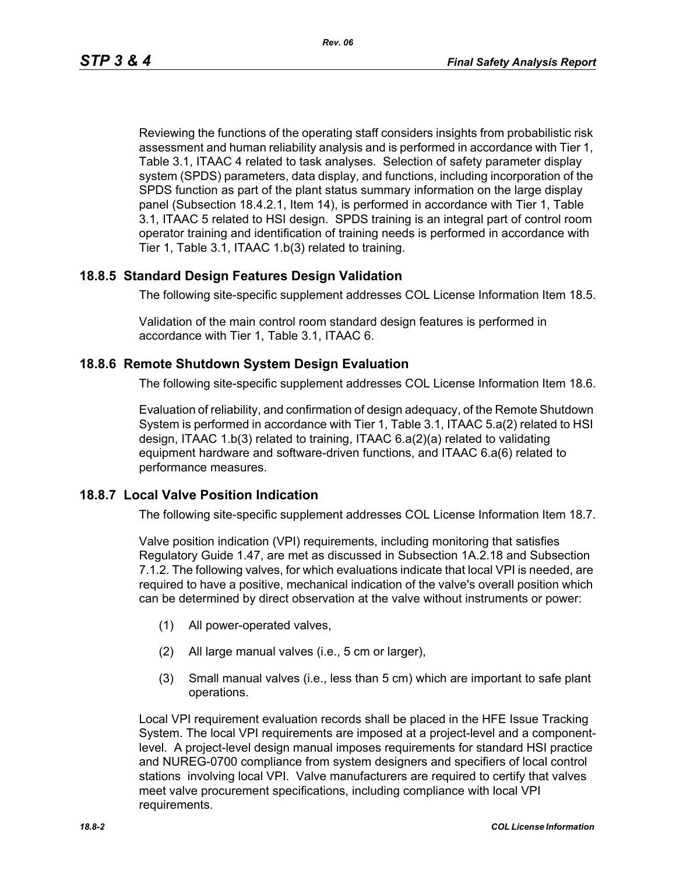Reviewing the functions of the operating staff considers insights from probabilistic risk assessment and human reliability analysis and is performed in accordance with Tier 1, Table 3.1, ITAAC 4 related to task analyses. Selection of safety parameter display system (SPDS) parameters, data display, and functions, including incorporation of the SPDS function as part of the plant status summary information on the large display panel (Subsection 18.4.2.1, Item 14), is performed in accordance with Tier 1, Table 3.1, ITAAC 5 related to HSI design. SPDS training is an integral part of control room operator training and identification of training needs is performed in accordance with Tier 1, Table 3.1, ITAAC 1.b(3) related to training.

## **18.8.5 Standard Design Features Design Validation**

The following site-specific supplement addresses COL License Information Item 18.5.

Validation of the main control room standard design features is performed in accordance with Tier 1, Table 3.1, ITAAC 6.

### **18.8.6 Remote Shutdown System Design Evaluation**

The following site-specific supplement addresses COL License Information Item 18.6.

Evaluation of reliability, and confirmation of design adequacy, of the Remote Shutdown System is performed in accordance with Tier 1, Table 3.1, ITAAC 5.a(2) related to HSI design, ITAAC 1.b(3) related to training, ITAAC 6.a(2)(a) related to validating equipment hardware and software-driven functions, and ITAAC 6.a(6) related to performance measures.

### **18.8.7 Local Valve Position Indication**

The following site-specific supplement addresses COL License Information Item 18.7.

Valve position indication (VPI) requirements, including monitoring that satisfies Regulatory Guide 1.47, are met as discussed in Subsection 1A.2.18 and Subsection 7.1.2. The following valves, for which evaluations indicate that local VPI is needed, are required to have a positive, mechanical indication of the valve's overall position which can be determined by direct observation at the valve without instruments or power:

- (1) All power-operated valves,
- (2) All large manual valves (i.e., 5 cm or larger),
- (3) Small manual valves (i.e., less than 5 cm) which are important to safe plant operations.

Local VPI requirement evaluation records shall be placed in the HFE Issue Tracking System. The local VPI requirements are imposed at a project-level and a componentlevel. A project-level design manual imposes requirements for standard HSI practice and NUREG-0700 compliance from system designers and specifiers of local control stations involving local VPI. Valve manufacturers are required to certify that valves meet valve procurement specifications, including compliance with local VPI requirements.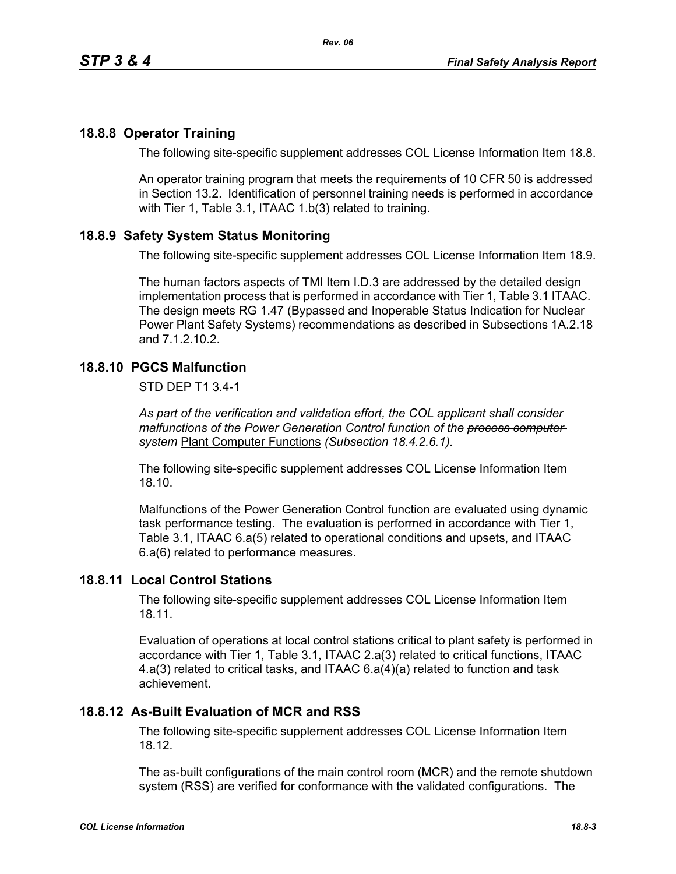## **18.8.8 Operator Training**

The following site-specific supplement addresses COL License Information Item 18.8.

An operator training program that meets the requirements of 10 CFR 50 is addressed in Section 13.2. Identification of personnel training needs is performed in accordance with Tier 1, Table 3.1, ITAAC 1.b(3) related to training.

## **18.8.9 Safety System Status Monitoring**

The following site-specific supplement addresses COL License Information Item 18.9.

The human factors aspects of TMI Item I.D.3 are addressed by the detailed design implementation process that is performed in accordance with Tier 1, Table 3.1 ITAAC. The design meets RG 1.47 (Bypassed and Inoperable Status Indication for Nuclear Power Plant Safety Systems) recommendations as described in Subsections 1A.2.18 and 7.1.2.10.2.

# **18.8.10 PGCS Malfunction**

STD DEP T1 3.4-1

*As part of the verification and validation effort, the COL applicant shall consider malfunctions of the Power Generation Control function of the process computer system* Plant Computer Functions *(Subsection 18.4.2.6.1).*

The following site-specific supplement addresses COL License Information Item 18.10.

Malfunctions of the Power Generation Control function are evaluated using dynamic task performance testing. The evaluation is performed in accordance with Tier 1, Table 3.1, ITAAC 6.a(5) related to operational conditions and upsets, and ITAAC 6.a(6) related to performance measures.

### **18.8.11 Local Control Stations**

The following site-specific supplement addresses COL License Information Item 18.11.

Evaluation of operations at local control stations critical to plant safety is performed in accordance with Tier 1, Table 3.1, ITAAC 2.a(3) related to critical functions, ITAAC 4.a(3) related to critical tasks, and ITAAC 6.a(4)(a) related to function and task achievement.

### **18.8.12 As-Built Evaluation of MCR and RSS**

The following site-specific supplement addresses COL License Information Item 18.12.

The as-built configurations of the main control room (MCR) and the remote shutdown system (RSS) are verified for conformance with the validated configurations. The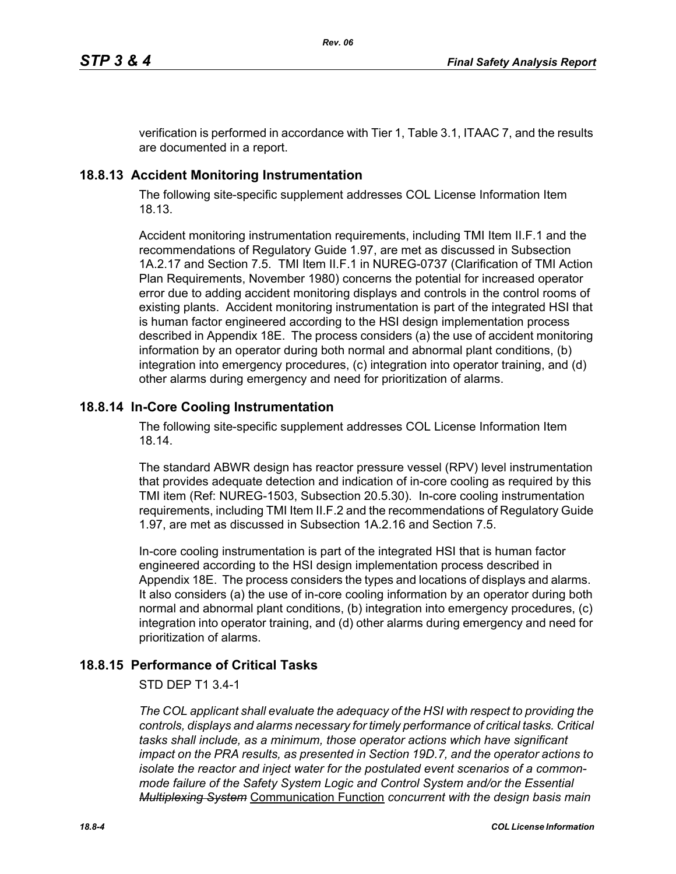verification is performed in accordance with Tier 1, Table 3.1, ITAAC 7, and the results are documented in a report.

# **18.8.13 Accident Monitoring Instrumentation**

The following site-specific supplement addresses COL License Information Item 18.13.

Accident monitoring instrumentation requirements, including TMI Item II.F.1 and the recommendations of Regulatory Guide 1.97, are met as discussed in Subsection 1A.2.17 and Section 7.5. TMI Item II.F.1 in NUREG-0737 (Clarification of TMI Action Plan Requirements, November 1980) concerns the potential for increased operator error due to adding accident monitoring displays and controls in the control rooms of existing plants. Accident monitoring instrumentation is part of the integrated HSI that is human factor engineered according to the HSI design implementation process described in Appendix 18E. The process considers (a) the use of accident monitoring information by an operator during both normal and abnormal plant conditions, (b) integration into emergency procedures, (c) integration into operator training, and (d) other alarms during emergency and need for prioritization of alarms.

# **18.8.14 In-Core Cooling Instrumentation**

The following site-specific supplement addresses COL License Information Item 18.14.

The standard ABWR design has reactor pressure vessel (RPV) level instrumentation that provides adequate detection and indication of in-core cooling as required by this TMI item (Ref: NUREG-1503, Subsection 20.5.30). In-core cooling instrumentation requirements, including TMI Item II.F.2 and the recommendations of Regulatory Guide 1.97, are met as discussed in Subsection 1A.2.16 and Section 7.5.

In-core cooling instrumentation is part of the integrated HSI that is human factor engineered according to the HSI design implementation process described in Appendix 18E. The process considers the types and locations of displays and alarms. It also considers (a) the use of in-core cooling information by an operator during both normal and abnormal plant conditions, (b) integration into emergency procedures, (c) integration into operator training, and (d) other alarms during emergency and need for prioritization of alarms.

# **18.8.15 Performance of Critical Tasks**

### STD DEP T1 3.4-1

*The COL applicant shall evaluate the adequacy of the HSI with respect to providing the controls, displays and alarms necessary for timely performance of critical tasks. Critical tasks shall include, as a minimum, those operator actions which have significant impact on the PRA results, as presented in Section 19D.7, and the operator actions to isolate the reactor and inject water for the postulated event scenarios of a commonmode failure of the Safety System Logic and Control System and/or the Essential Multiplexing System* Communication Function *concurrent with the design basis main*